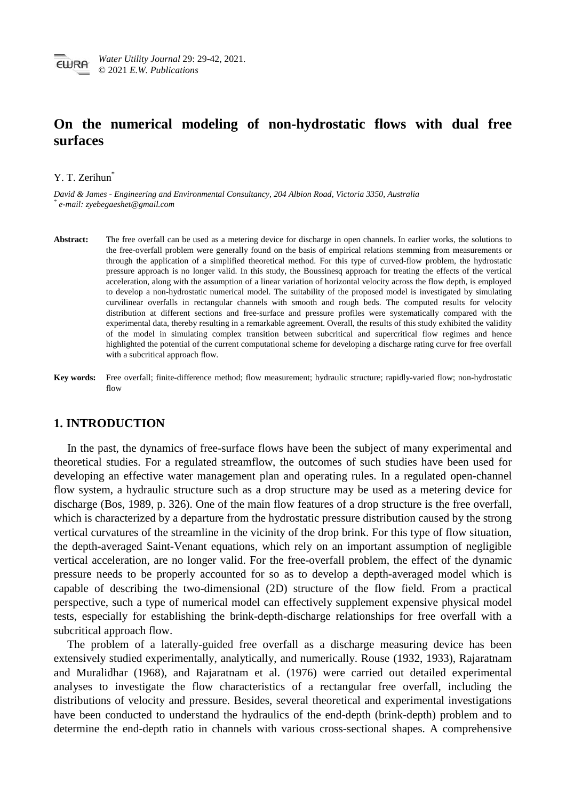# **On the numerical modeling of non-hydrostatic flows with dual free surfaces**

### Y. T. Zerihun\*

*David & James - Engineering and Environmental Consultancy, 204 Albion Road, Victoria 3350, Australia \* e-mail: zyebegaeshet@gmail.com*

- **Abstract:** The free overfall can be used as a metering device for discharge in open channels. In earlier works, the solutions to the free-overfall problem were generally found on the basis of empirical relations stemming from measurements or through the application of a simplified theoretical method. For this type of curved-flow problem, the hydrostatic pressure approach is no longer valid. In this study, the Boussinesq approach for treating the effects of the vertical acceleration, along with the assumption of a linear variation of horizontal velocity across the flow depth, is employed to develop a non-hydrostatic numerical model. The suitability of the proposed model is investigated by simulating curvilinear overfalls in rectangular channels with smooth and rough beds. The computed results for velocity distribution at different sections and free-surface and pressure profiles were systematically compared with the experimental data, thereby resulting in a remarkable agreement. Overall, the results of this study exhibited the validity of the model in simulating complex transition between subcritical and supercritical flow regimes and hence highlighted the potential of the current computational scheme for developing a discharge rating curve for free overfall with a subcritical approach flow.
- **Key words:** Free overfall; finite-difference method; flow measurement; hydraulic structure; rapidly-varied flow; non-hydrostatic flow

# **1. INTRODUCTION**

In the past, the dynamics of free-surface flows have been the subject of many experimental and theoretical studies. For a regulated streamflow, the outcomes of such studies have been used for developing an effective water management plan and operating rules. In a regulated open-channel flow system, a hydraulic structure such as a drop structure may be used as a metering device for discharge (Bos, 1989, p. 326). One of the main flow features of a drop structure is the free overfall, which is characterized by a departure from the hydrostatic pressure distribution caused by the strong vertical curvatures of the streamline in the vicinity of the drop brink. For this type of flow situation, the depth-averaged Saint-Venant equations, which rely on an important assumption of negligible vertical acceleration, are no longer valid. For the free-overfall problem, the effect of the dynamic pressure needs to be properly accounted for so as to develop a depth-averaged model which is capable of describing the two-dimensional (2D) structure of the flow field. From a practical perspective, such a type of numerical model can effectively supplement expensive physical model tests, especially for establishing the brink-depth-discharge relationships for free overfall with a subcritical approach flow.

The problem of a laterally-guided free overfall as a discharge measuring device has been extensively studied experimentally, analytically, and numerically. Rouse (1932, 1933), Rajaratnam and Muralidhar (1968), and Rajaratnam et al. (1976) were carried out detailed experimental analyses to investigate the flow characteristics of a rectangular free overfall, including the distributions of velocity and pressure. Besides, several theoretical and experimental investigations have been conducted to understand the hydraulics of the end-depth (brink-depth) problem and to determine the end-depth ratio in channels with various cross-sectional shapes. A comprehensive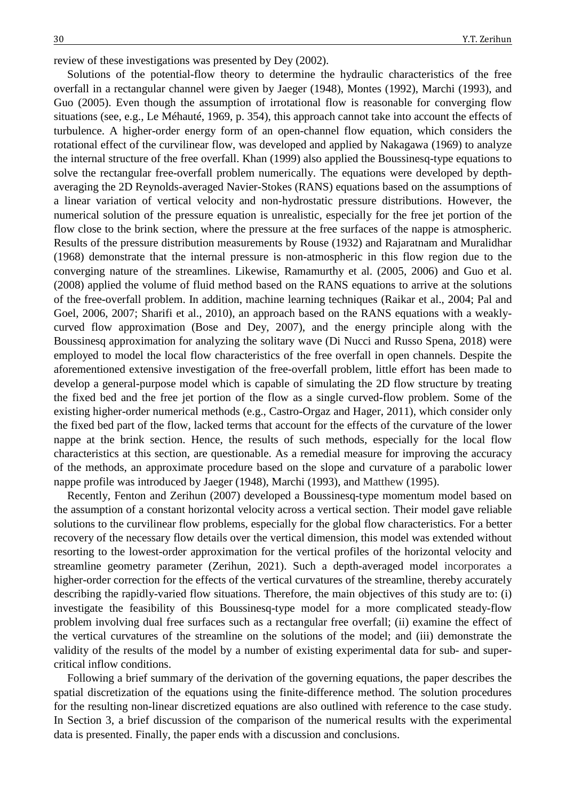review of these investigations was presented by Dey (2002).

Solutions of the potential-flow theory to determine the hydraulic characteristics of the free overfall in a rectangular channel were given by Jaeger (1948), Montes (1992), Marchi (1993), and Guo (2005). Even though the assumption of irrotational flow is reasonable for converging flow situations (see, e.g., Le Méhauté, 1969, p. 354), this approach cannot take into account the effects of turbulence. A higher-order energy form of an open-channel flow equation, which considers the rotational effect of the curvilinear flow, was developed and applied by Nakagawa (1969) to analyze the internal structure of the free overfall. Khan (1999) also applied the Boussinesq-type equations to solve the rectangular free-overfall problem numerically. The equations were developed by depthaveraging the 2D Reynolds-averaged Navier-Stokes (RANS) equations based on the assumptions of a linear variation of vertical velocity and non-hydrostatic pressure distributions. However, the numerical solution of the pressure equation is unrealistic, especially for the free jet portion of the flow close to the brink section, where the pressure at the free surfaces of the nappe is atmospheric. Results of the pressure distribution measurements by Rouse (1932) and Rajaratnam and Muralidhar (1968) demonstrate that the internal pressure is non-atmospheric in this flow region due to the converging nature of the streamlines. Likewise, Ramamurthy et al. (2005, 2006) and Guo et al. (2008) applied the volume of fluid method based on the RANS equations to arrive at the solutions of the free-overfall problem. In addition, machine learning techniques (Raikar et al., 2004; Pal and Goel, 2006, 2007; Sharifi et al., 2010), an approach based on the RANS equations with a weaklycurved flow approximation (Bose and Dey, 2007), and the energy principle along with the Boussinesq approximation for analyzing the solitary wave (Di Nucci and Russo Spena, 2018) were employed to model the local flow characteristics of the free overfall in open channels. Despite the aforementioned extensive investigation of the free-overfall problem, little effort has been made to develop a general-purpose model which is capable of simulating the 2D flow structure by treating the fixed bed and the free jet portion of the flow as a single curved-flow problem. Some of the existing higher-order numerical methods (e.g., Castro-Orgaz and Hager, 2011), which consider only the fixed bed part of the flow, lacked terms that account for the effects of the curvature of the lower nappe at the brink section. Hence, the results of such methods, especially for the local flow characteristics at this section, are questionable. As a remedial measure for improving the accuracy of the methods, an approximate procedure based on the slope and curvature of a parabolic lower nappe profile was introduced by Jaeger (1948), Marchi (1993), and Matthew (1995).

Recently, Fenton and Zerihun (2007) developed a Boussinesq-type momentum model based on the assumption of a constant horizontal velocity across a vertical section. Their model gave reliable solutions to the curvilinear flow problems, especially for the global flow characteristics. For a better recovery of the necessary flow details over the vertical dimension, this model was extended without resorting to the lowest-order approximation for the vertical profiles of the horizontal velocity and streamline geometry parameter (Zerihun, 2021). Such a depth-averaged model incorporates a higher-order correction for the effects of the vertical curvatures of the streamline, thereby accurately describing the rapidly-varied flow situations. Therefore, the main objectives of this study are to: (i) investigate the feasibility of this Boussinesq-type model for a more complicated steady-flow problem involving dual free surfaces such as a rectangular free overfall; (ii) examine the effect of the vertical curvatures of the streamline on the solutions of the model; and (iii) demonstrate the validity of the results of the model by a number of existing experimental data for sub- and supercritical inflow conditions.

Following a brief summary of the derivation of the governing equations, the paper describes the spatial discretization of the equations using the finite-difference method. The solution procedures for the resulting non-linear discretized equations are also outlined with reference to the case study. In Section 3, a brief discussion of the comparison of the numerical results with the experimental data is presented. Finally, the paper ends with a discussion and conclusions.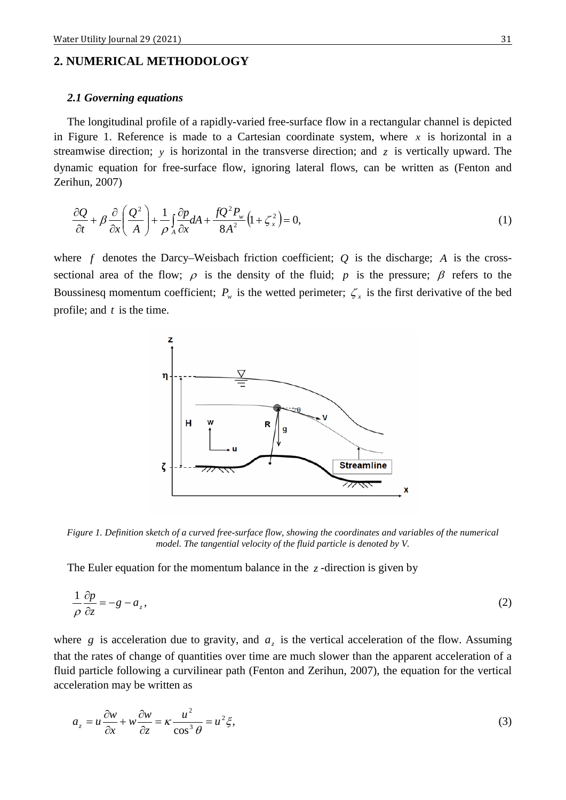# **2. NUMERICAL METHODOLOGY**

#### *2.1 Governing equations*

The longitudinal profile of a rapidly-varied free-surface flow in a rectangular channel is depicted in Figure 1. Reference is made to a Cartesian coordinate system, where  $x$  is horizontal in a streamwise direction; *y* is horizontal in the transverse direction; and *z* is vertically upward. The dynamic equation for free-surface flow, ignoring lateral flows, can be written as (Fenton and Zerihun, 2007)

$$
\frac{\partial Q}{\partial t} + \beta \frac{\partial}{\partial x} \left( \frac{Q^2}{A} \right) + \frac{1}{\rho} \int_A \frac{\partial p}{\partial x} dA + \frac{f Q^2 P_w}{8A^2} \left( 1 + \zeta_x^2 \right) = 0, \tag{1}
$$

where  $f$  denotes the Darcy–Weisbach friction coefficient;  $Q$  is the discharge;  $A$  is the crosssectional area of the flow;  $\rho$  is the density of the fluid; *p* is the pressure;  $\beta$  refers to the Boussinesq momentum coefficient;  $P_w$  is the wetted perimeter;  $\zeta_x$  is the first derivative of the bed profile; and *t* is the time.



*Figure 1. Definition sketch of a curved free-surface flow, showing the coordinates and variables of the numerical model. The tangential velocity of the fluid particle is denoted by V.*

The Euler equation for the momentum balance in the  $z$ -direction is given by

$$
\frac{1}{\rho} \frac{\partial p}{\partial z} = -g - a_z,\tag{2}
$$

where  $g$  is acceleration due to gravity, and  $a<sub>z</sub>$  is the vertical acceleration of the flow. Assuming that the rates of change of quantities over time are much slower than the apparent acceleration of a fluid particle following a curvilinear path (Fenton and Zerihun, 2007), the equation for the vertical acceleration may be written as

$$
a_z = u \frac{\partial w}{\partial x} + w \frac{\partial w}{\partial z} = \kappa \frac{u^2}{\cos^3 \theta} = u^2 \xi,
$$
\n(3)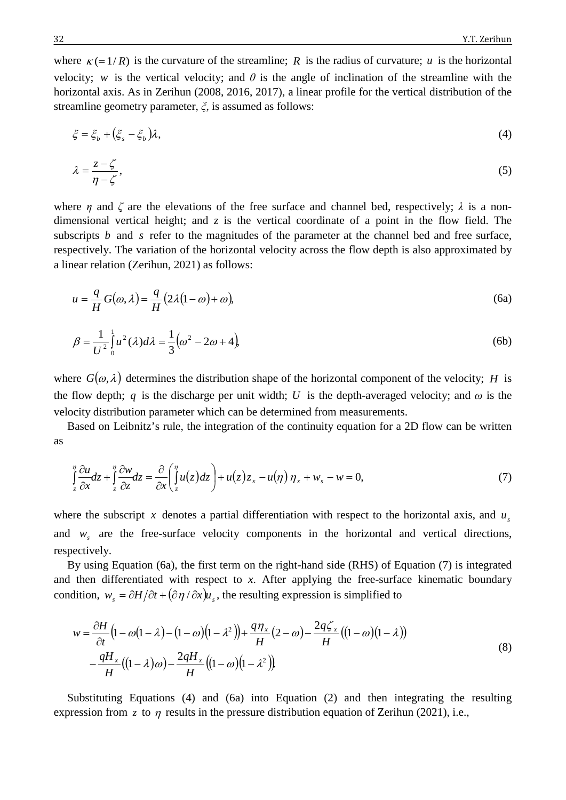where  $\kappa$  (= 1/*R*) is the curvature of the streamline; *R* is the radius of curvature; *u* is the horizontal velocity; *w* is the vertical velocity; and  $\theta$  is the angle of inclination of the streamline with the horizontal axis. As in Zerihun (2008, 2016, 2017), a linear profile for the vertical distribution of the streamline geometry parameter, *ξ*, is assumed as follows:

$$
\xi = \xi_b + (\xi_s - \xi_b)\lambda,\tag{4}
$$

$$
\lambda = \frac{z - \zeta}{\eta - \zeta},\tag{5}
$$

where *η* and  $\zeta$  are the elevations of the free surface and channel bed, respectively;  $\lambda$  is a nondimensional vertical height; and *z* is the vertical coordinate of a point in the flow field. The subscripts *b* and *s* refer to the magnitudes of the parameter at the channel bed and free surface, respectively. The variation of the horizontal velocity across the flow depth is also approximated by a linear relation (Zerihun, 2021) as follows:

$$
u = \frac{q}{H}G(\omega, \lambda) = \frac{q}{H}(2\lambda(1 - \omega) + \omega),
$$
\n(6a)

$$
\beta = \frac{1}{U^2} \int_0^1 u^2(\lambda) d\lambda = \frac{1}{3} (\omega^2 - 2\omega + 4),
$$
\n(6b)

where  $G(\omega, \lambda)$  determines the distribution shape of the horizontal component of the velocity; *H* is the flow depth; *q* is the discharge per unit width; *U* is the depth-averaged velocity; and  $\omega$  is the velocity distribution parameter which can be determined from measurements.

Based on Leibnitz's rule, the integration of the continuity equation for a 2D flow can be written as

$$
\int_{z}^{\eta} \frac{\partial u}{\partial x} dz + \int_{z}^{\eta} \frac{\partial w}{\partial z} dz = \frac{\partial}{\partial x} \left( \int_{z}^{\eta} u(z) dz \right) + u(z) z_{x} - u(\eta) \eta_{x} + w_{s} - w = 0, \tag{7}
$$

where the subscript x denotes a partial differentiation with respect to the horizontal axis, and  $u<sub>s</sub>$ and  $w<sub>s</sub>$  are the free-surface velocity components in the horizontal and vertical directions, respectively.

By using Equation (6a), the first term on the right-hand side (RHS) of Equation (7) is integrated and then differentiated with respect to *x*. After applying the free-surface kinematic boundary condition,  $w_s = \partial H / \partial t + (\partial \eta / \partial x) u_s$ , the resulting expression is simplified to

$$
w = \frac{\partial H}{\partial t} \left( 1 - \omega \left( 1 - \lambda \right) - \left( 1 - \omega \right) \left( 1 - \lambda^2 \right) \right) + \frac{q \eta_x}{H} \left( 2 - \omega \right) - \frac{2q \zeta_x}{H} \left( \left( 1 - \omega \right) \left( 1 - \lambda \right) \right)
$$
  
 
$$
- \frac{q H_x}{H} \left( \left( 1 - \lambda \right) \omega \right) - \frac{2q H_x}{H} \left( \left( 1 - \omega \right) \left( 1 - \lambda^2 \right) \right)
$$
  
(8)

Substituting Equations (4) and (6a) into Equation (2) and then integrating the resulting expression from  $\zeta$  to  $\eta$  results in the pressure distribution equation of Zerihun (2021), i.e.,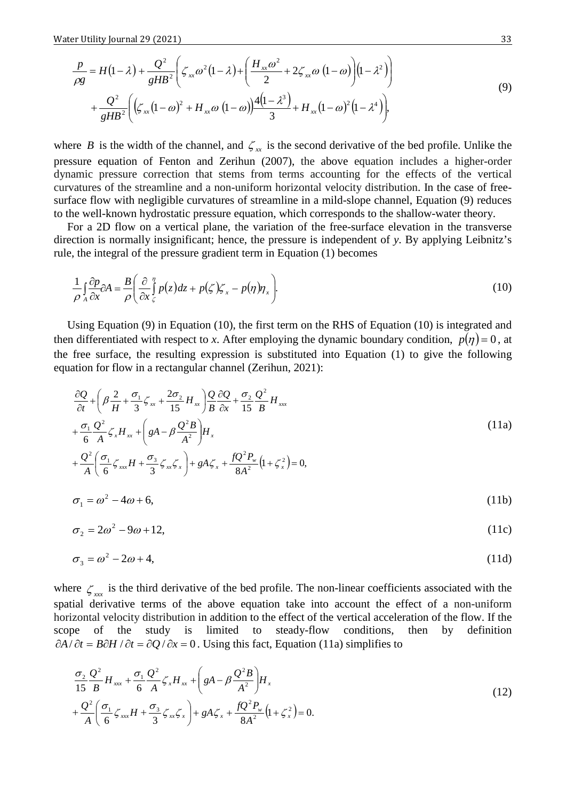$$
\frac{p}{\rho g} = H(1-\lambda) + \frac{Q^2}{gHB^2} \left( \zeta_{xx} \omega^2 (1-\lambda) + \left( \frac{H_{xx} \omega^2}{2} + 2\zeta_{xx} \omega (1-\omega) \right) (1-\lambda^2) \right) \n+ \frac{Q^2}{gHB^2} \left( \left( \zeta_{xx} (1-\omega)^2 + H_{xx} \omega (1-\omega) \right) \frac{4(1-\lambda^3)}{3} + H_{xx} (1-\omega)^2 (1-\lambda^4) \right),
$$
\n(9)

where *B* is the width of the channel, and  $\zeta_{xx}$  is the second derivative of the bed profile. Unlike the pressure equation of Fenton and Zerihun (2007), the above equation includes a higher-order dynamic pressure correction that stems from terms accounting for the effects of the vertical curvatures of the streamline and a non-uniform horizontal velocity distribution. In the case of freesurface flow with negligible curvatures of streamline in a mild-slope channel, Equation (9) reduces to the well-known hydrostatic pressure equation, which corresponds to the shallow-water theory.

For a 2D flow on a vertical plane, the variation of the free-surface elevation in the transverse direction is normally insignificant; hence, the pressure is independent of *y*. By applying Leibnitz's rule, the integral of the pressure gradient term in Equation (1) becomes

$$
\frac{1}{\rho} \int_{A} \frac{\partial p}{\partial x} \partial A = \frac{B}{\rho} \left( \frac{\partial}{\partial x} \int_{\zeta}^{n} p(z) dz + p(\zeta) \zeta_{x} - p(\eta) \eta_{x} \right).
$$
\n(10)

Using Equation (9) in Equation (10), the first term on the RHS of Equation (10) is integrated and then differentiated with respect to *x*. After employing the dynamic boundary condition,  $p(\eta) = 0$ , at the free surface, the resulting expression is substituted into Equation (1) to give the following equation for flow in a rectangular channel (Zerihun, 2021):

$$
\frac{\partial Q}{\partial t} + \left(\beta \frac{2}{H} + \frac{\sigma_1}{3} \zeta_{xx} + \frac{2\sigma_2}{15} H_{xx}\right) \frac{Q}{B} \frac{\partial Q}{\partial x} + \frac{\sigma_2}{15} \frac{Q^2}{B} H_{xxx} \n+ \frac{\sigma_1}{6} \frac{Q^2}{A} \zeta_x H_{xx} + \left(gA - \beta \frac{Q^2 B}{A^2}\right) H_x \n+ \frac{Q^2}{A} \left(\frac{\sigma_1}{6} \zeta_{xx} H + \frac{\sigma_3}{3} \zeta_{xx} \zeta_x\right) + gA \zeta_x + \frac{fQ^2 P_w}{8A^2} (1 + \zeta_x^2) = 0,
$$
\n(11a)

$$
\sigma_1 = \omega^2 - 4\omega + 6,\tag{11b}
$$

$$
\sigma_2 = 2\omega^2 - 9\omega + 12,\tag{11c}
$$

$$
\sigma_3 = \omega^2 - 2\omega + 4,\tag{11d}
$$

where  $\zeta_{xx}$  is the third derivative of the bed profile. The non-linear coefficients associated with the spatial derivative terms of the above equation take into account the effect of a non-uniform horizontal velocity distribution in addition to the effect of the vertical acceleration of the flow. If the scope of the study is limited to steady-flow conditions, then by definition  $\partial A/\partial t = B\partial H/\partial t = \partial Q/\partial x = 0$ . Using this fact, Equation (11a) simplifies to

$$
\frac{\sigma_2}{15} \frac{Q^2}{B} H_{xx} + \frac{\sigma_1}{6} \frac{Q^2}{A} \zeta_x H_{xx} + \left( gA - \beta \frac{Q^2 B}{A^2} \right) H_x + \frac{Q^2}{A} \left( \frac{\sigma_1}{6} \zeta_{xx} H + \frac{\sigma_3}{3} \zeta_{xx} \zeta_x \right) + gA \zeta_x + \frac{fQ^2 P_w}{8A^2} \left( 1 + \zeta_x^2 \right) = 0.
$$
\n(12)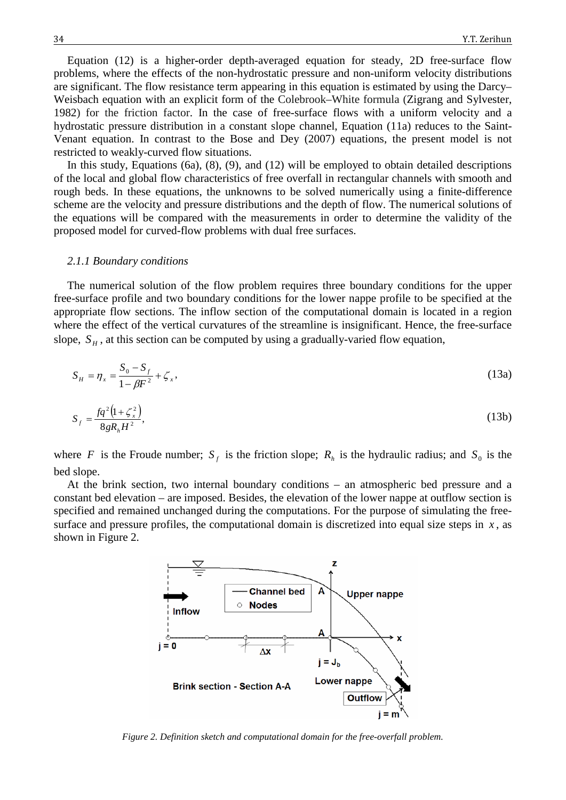Equation (12) is a higher**-**order depth-averaged equation for steady, 2D free-surface flow problems, where the effects of the non-hydrostatic pressure and non-uniform velocity distributions are significant. The flow resistance term appearing in this equation is estimated by using the Darcy– Weisbach equation with an explicit form of the Colebrook–White formula (Zigrang and Sylvester, 1982) for the friction factor. In the case of free-surface flows with a uniform velocity and a hydrostatic pressure distribution in a constant slope channel, Equation (11a) reduces to the Saint-Venant equation. In contrast to the Bose and Dey (2007) equations, the present model is not restricted to weakly-curved flow situations.

In this study, Equations (6a), (8), (9), and (12) will be employed to obtain detailed descriptions of the local and global flow characteristics of free overfall in rectangular channels with smooth and rough beds. In these equations, the unknowns to be solved numerically using a finite-difference scheme are the velocity and pressure distributions and the depth of flow. The numerical solutions of the equations will be compared with the measurements in order to determine the validity of the proposed model for curved-flow problems with dual free surfaces.

#### *2.1.1 Boundary conditions*

The numerical solution of the flow problem requires three boundary conditions for the upper free-surface profile and two boundary conditions for the lower nappe profile to be specified at the appropriate flow sections. The inflow section of the computational domain is located in a region where the effect of the vertical curvatures of the streamline is insignificant. Hence, the free-surface slope,  $S_H$ , at this section can be computed by using a gradually-varied flow equation,

$$
S_H = \eta_x = \frac{S_0 - S_f}{1 - \beta F^2} + \zeta_x,
$$
\n(13a)

$$
S_f = \frac{fq^2(1+\zeta_x^2)}{8gR_hH^2},
$$
\n(13b)

where *F* is the Froude number;  $S_f$  is the friction slope;  $R_h$  is the hydraulic radius; and  $S_0$  is the bed slope.

At the brink section, two internal boundary conditions – an atmospheric bed pressure and a constant bed elevation – are imposed. Besides, the elevation of the lower nappe at outflow section is specified and remained unchanged during the computations. For the purpose of simulating the freesurface and pressure profiles, the computational domain is discretized into equal size steps in  $x$ , as shown in Figure 2.



*Figure 2. Definition sketch and computational domain for the free-overfall problem.*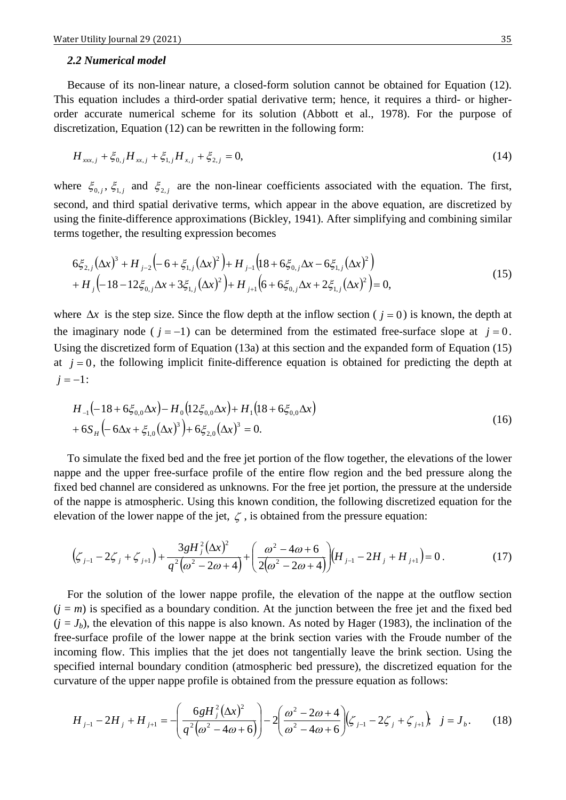#### *2.2 Numerical model*

Because of its non-linear nature, a closed-form solution cannot be obtained for Equation (12). This equation includes a third-order spatial derivative term; hence, it requires a third- or higherorder accurate numerical scheme for its solution (Abbott et al., 1978). For the purpose of discretization, Equation (12) can be rewritten in the following form:

$$
H_{xxx,j} + \xi_{0,j} H_{xx,j} + \xi_{1,j} H_{x,j} + \xi_{2,j} = 0,
$$
\n(14)

where  $\xi_{0,i}$ ,  $\xi_{1,i}$  and  $\xi_{2,i}$  are the non-linear coefficients associated with the equation. The first, second, and third spatial derivative terms, which appear in the above equation, are discretized by using the finite-difference approximations (Bickley, 1941). After simplifying and combining similar terms together, the resulting expression becomes

$$
6\xi_{2,j}(\Delta x)^3 + H_{j-2}(-6 + \xi_{1,j}(\Delta x)^2) + H_{j-1}(18 + 6\xi_{0,j}\Delta x - 6\xi_{1,j}(\Delta x)^2) + H_j(-18 - 12\xi_{0,j}\Delta x + 3\xi_{1,j}(\Delta x)^2) + H_{j+1}(6 + 6\xi_{0,j}\Delta x + 2\xi_{1,j}(\Delta x)^2) = 0,
$$
\n(15)

where  $\Delta x$  is the step size. Since the flow depth at the inflow section ( $j = 0$ ) is known, the depth at the imaginary node ( $j = -1$ ) can be determined from the estimated free-surface slope at  $j = 0$ . Using the discretized form of Equation (13a) at this section and the expanded form of Equation (15) at  $j = 0$ , the following implicit finite-difference equation is obtained for predicting the depth at  $j = -1$ :

$$
H_{-1}(-18 + 6\xi_{0,0}\Delta x) - H_0(12\xi_{0,0}\Delta x) + H_1(18 + 6\xi_{0,0}\Delta x) + 6S_H(-6\Delta x + \xi_{1,0}(\Delta x)^3) + 6\xi_{2,0}(\Delta x)^3 = 0.
$$
\n(16)

To simulate the fixed bed and the free jet portion of the flow together, the elevations of the lower nappe and the upper free-surface profile of the entire flow region and the bed pressure along the fixed bed channel are considered as unknowns. For the free jet portion, the pressure at the underside of the nappe is atmospheric. Using this known condition, the following discretized equation for the elevation of the lower nappe of the jet,  $\zeta$ , is obtained from the pressure equation:

$$
\left(\zeta_{j-1} - 2\zeta_j + \zeta_{j+1}\right) + \frac{3gH_j^2(\Delta x)^2}{q^2(\omega^2 - 2\omega + 4)} + \left(\frac{\omega^2 - 4\omega + 6}{2(\omega^2 - 2\omega + 4)}\right)\left(H_{j-1} - 2H_j + H_{j+1}\right) = 0.
$$
\n(17)

For the solution of the lower nappe profile, the elevation of the nappe at the outflow section  $(j = m)$  is specified as a boundary condition. At the junction between the free jet and the fixed bed  $(j = J_b)$ , the elevation of this nappe is also known. As noted by Hager (1983), the inclination of the free-surface profile of the lower nappe at the brink section varies with the Froude number of the incoming flow. This implies that the jet does not tangentially leave the brink section. Using the specified internal boundary condition (atmospheric bed pressure), the discretized equation for the curvature of the upper nappe profile is obtained from the pressure equation as follows:

$$
H_{j-1} - 2H_j + H_{j+1} = -\left(\frac{6gH_j^2(\Delta x)^2}{q^2(\omega^2 - 4\omega + 6)}\right) - 2\left(\frac{\omega^2 - 2\omega + 4}{\omega^2 - 4\omega + 6}\right)\left(\zeta_{j-1} - 2\zeta_j + \zeta_{j+1}\right), \quad j = J_b.
$$
 (18)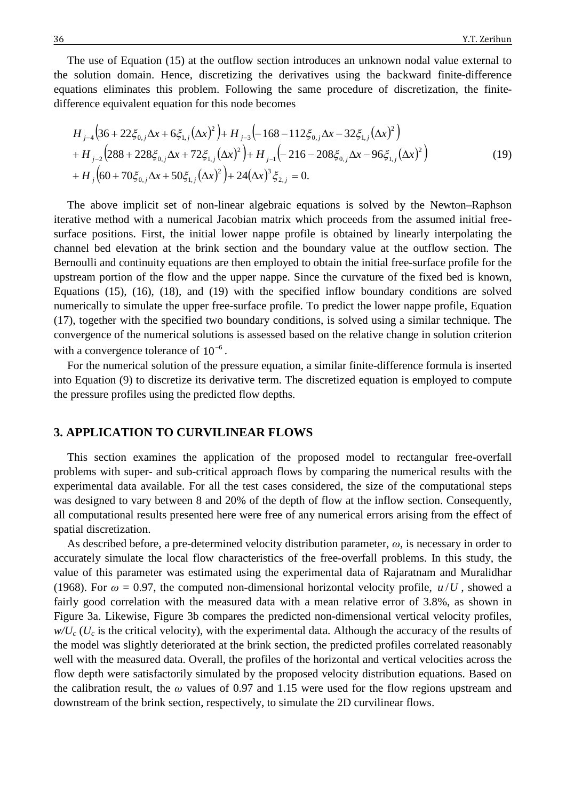The use of Equation (15) at the outflow section introduces an unknown nodal value external to the solution domain. Hence, discretizing the derivatives using the backward finite-difference equations eliminates this problem. Following the same procedure of discretization, the finitedifference equivalent equation for this node becomes

$$
H_{j-4}\left(36+22\xi_{0,j}\Delta x+6\xi_{1,j}(\Delta x)^2\right)+H_{j-3}\left(-168-112\xi_{0,j}\Delta x-32\xi_{1,j}(\Delta x)^2\right) +H_{j-2}\left(288+228\xi_{0,j}\Delta x+72\xi_{1,j}(\Delta x)^2\right)+H_{j-1}\left(-216-208\xi_{0,j}\Delta x-96\xi_{1,j}(\Delta x)^2\right) +H_j\left(60+70\xi_{0,j}\Delta x+50\xi_{1,j}(\Delta x)^2\right)+24(\Delta x)^3\xi_{2,j}=0.
$$
\n(19)

The above implicit set of non-linear algebraic equations is solved by the Newton–Raphson iterative method with a numerical Jacobian matrix which proceeds from the assumed initial freesurface positions. First, the initial lower nappe profile is obtained by linearly interpolating the channel bed elevation at the brink section and the boundary value at the outflow section. The Bernoulli and continuity equations are then employed to obtain the initial free-surface profile for the upstream portion of the flow and the upper nappe. Since the curvature of the fixed bed is known, Equations (15), (16), (18), and (19) with the specified inflow boundary conditions are solved numerically to simulate the upper free-surface profile. To predict the lower nappe profile, Equation (17), together with the specified two boundary conditions, is solved using a similar technique. The convergence of the numerical solutions is assessed based on the relative change in solution criterion with a convergence tolerance of  $10^{-6}$ .

For the numerical solution of the pressure equation, a similar finite-difference formula is inserted into Equation (9) to discretize its derivative term. The discretized equation is employed to compute the pressure profiles using the predicted flow depths.

# **3. APPLICATION TO CURVILINEAR FLOWS**

This section examines the application of the proposed model to rectangular free-overfall problems with super- and sub-critical approach flows by comparing the numerical results with the experimental data available. For all the test cases considered, the size of the computational steps was designed to vary between 8 and 20% of the depth of flow at the inflow section. Consequently, all computational results presented here were free of any numerical errors arising from the effect of spatial discretization.

As described before, a pre-determined velocity distribution parameter, *ω*, is necessary in order to accurately simulate the local flow characteristics of the free-overfall problems. In this study, the value of this parameter was estimated using the experimental data of Rajaratnam and Muralidhar (1968). For  $\omega = 0.97$ , the computed non-dimensional horizontal velocity profile,  $u/U$ , showed a fairly good correlation with the measured data with a mean relative error of 3.8%, as shown in Figure 3a. Likewise, Figure 3b compares the predicted non-dimensional vertical velocity profiles,  $w/U_c$  ( $U_c$  is the critical velocity), with the experimental data. Although the accuracy of the results of the model was slightly deteriorated at the brink section, the predicted profiles correlated reasonably well with the measured data. Overall, the profiles of the horizontal and vertical velocities across the flow depth were satisfactorily simulated by the proposed velocity distribution equations. Based on the calibration result, the *ω* values of 0.97 and 1.15 were used for the flow regions upstream and downstream of the brink section, respectively, to simulate the 2D curvilinear flows.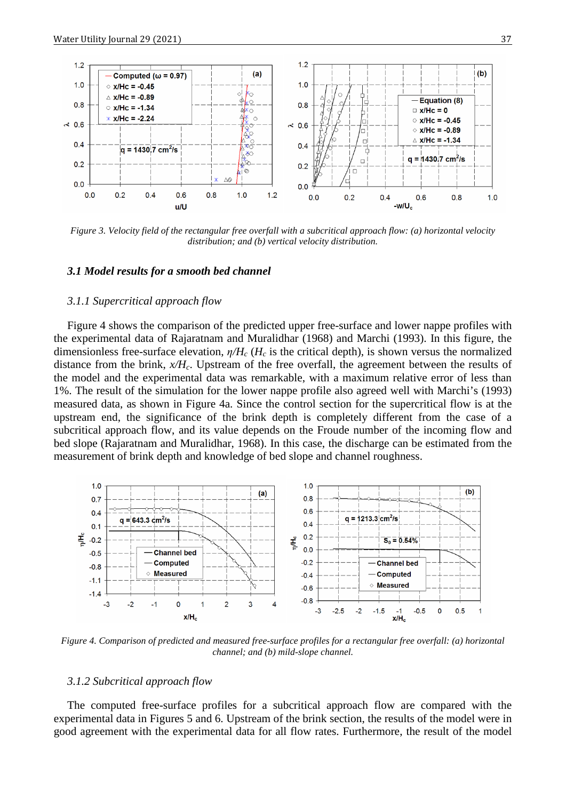

*Figure 3. Velocity field of the rectangular free overfall with a subcritical approach flow: (a) horizontal velocity distribution; and (b) vertical velocity distribution.*

#### *3.1 Model results for a smooth bed channel*

#### *3.1.1 Supercritical approach flow*

Figure 4 shows the comparison of the predicted upper free-surface and lower nappe profiles with the experimental data of Rajaratnam and Muralidhar (1968) and Marchi (1993). In this figure, the dimensionless free-surface elevation, *η/Hc* (*Hc* is the critical depth), is shown versus the normalized distance from the brink,  $x/H_c$ . Upstream of the free overfall, the agreement between the results of the model and the experimental data was remarkable, with a maximum relative error of less than 1%. The result of the simulation for the lower nappe profile also agreed well with Marchi's (1993) measured data, as shown in Figure 4a. Since the control section for the supercritical flow is at the upstream end, the significance of the brink depth is completely different from the case of a subcritical approach flow, and its value depends on the Froude number of the incoming flow and bed slope (Rajaratnam and Muralidhar, 1968). In this case, the discharge can be estimated from the measurement of brink depth and knowledge of bed slope and channel roughness.



*Figure 4. Comparison of predicted and measured free-surface profiles for a rectangular free overfall: (a) horizontal channel; and (b) mild-slope channel.*

# *3.1.2 Subcritical approach flow*

The computed free-surface profiles for a subcritical approach flow are compared with the experimental data in Figures 5 and 6. Upstream of the brink section, the results of the model were in good agreement with the experimental data for all flow rates. Furthermore, the result of the model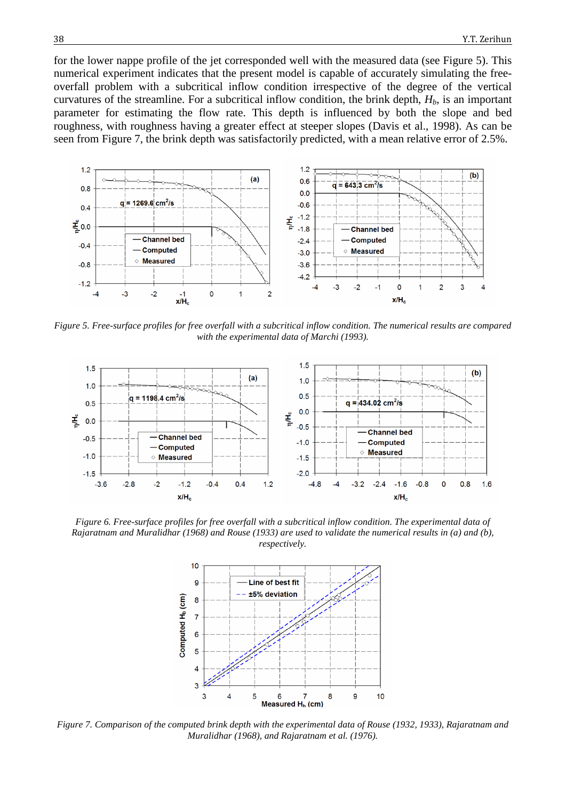for the lower nappe profile of the jet corresponded well with the measured data (see Figure 5). This numerical experiment indicates that the present model is capable of accurately simulating the freeoverfall problem with a subcritical inflow condition irrespective of the degree of the vertical curvatures of the streamline. For a subcritical inflow condition, the brink depth,  $H<sub>b</sub>$ , is an important parameter for estimating the flow rate. This depth is influenced by both the slope and bed roughness, with roughness having a greater effect at steeper slopes (Davis et al., 1998). As can be seen from Figure 7, the brink depth was satisfactorily predicted, with a mean relative error of 2.5%.



*Figure 5. Free-surface profiles for free overfall with a subcritical inflow condition. The numerical results are compared with the experimental data of Marchi (1993).*



*Figure 6. Free-surface profiles for free overfall with a subcritical inflow condition. The experimental data of Rajaratnam and Muralidhar (1968) and Rouse (1933) are used to validate the numerical results in (a) and (b), respectively.*



*Figure 7. Comparison of the computed brink depth with the experimental data of Rouse (1932, 1933), Rajaratnam and Muralidhar (1968), and Rajaratnam et al. (1976).*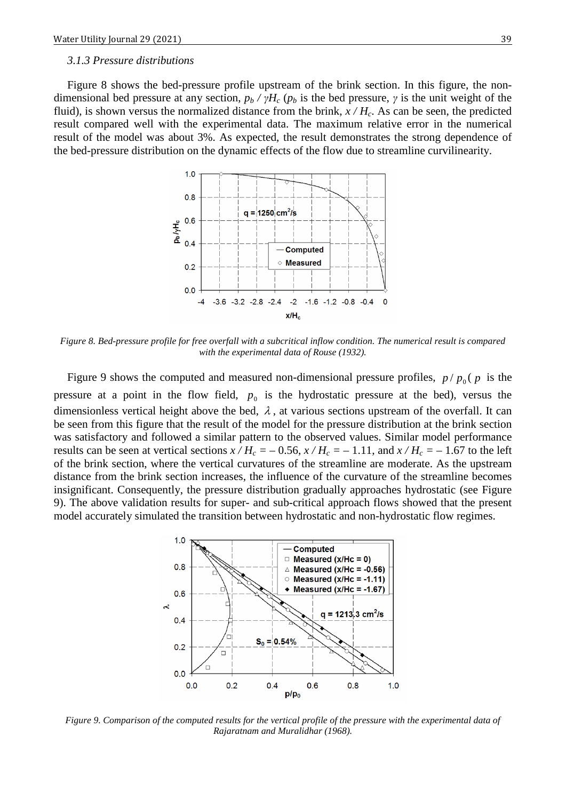#### *3.1.3 Pressure distributions*

Figure 8 shows the bed-pressure profile upstream of the brink section. In this figure, the nondimensional bed pressure at any section,  $p_b / \gamma H_c$  ( $p_b$  is the bed pressure,  $\gamma$  is the unit weight of the fluid), is shown versus the normalized distance from the brink,  $x / H_c$ . As can be seen, the predicted result compared well with the experimental data. The maximum relative error in the numerical result of the model was about 3%. As expected, the result demonstrates the strong dependence of the bed-pressure distribution on the dynamic effects of the flow due to streamline curvilinearity.



*Figure 8. Bed-pressure profile for free overfall with a subcritical inflow condition. The numerical result is compared with the experimental data of Rouse (1932).*

Figure 9 shows the computed and measured non-dimensional pressure profiles,  $p / p_0$  ( $p$  is the pressure at a point in the flow field,  $p_0$  is the hydrostatic pressure at the bed), versus the dimensionless vertical height above the bed,  $\lambda$ , at various sections upstream of the overfall. It can be seen from this figure that the result of the model for the pressure distribution at the brink section was satisfactory and followed a similar pattern to the observed values. Similar model performance results can be seen at vertical sections  $x/H_c = -0.56$ ,  $x/H_c = -1.11$ , and  $x/H_c = -1.67$  to the left of the brink section, where the vertical curvatures of the streamline are moderate. As the upstream distance from the brink section increases, the influence of the curvature of the streamline becomes insignificant. Consequently, the pressure distribution gradually approaches hydrostatic (see Figure 9). The above validation results for super- and sub-critical approach flows showed that the present model accurately simulated the transition between hydrostatic and non-hydrostatic flow regimes.



*Figure 9. Comparison of the computed results for the vertical profile of the pressure with the experimental data of Rajaratnam and Muralidhar (1968).*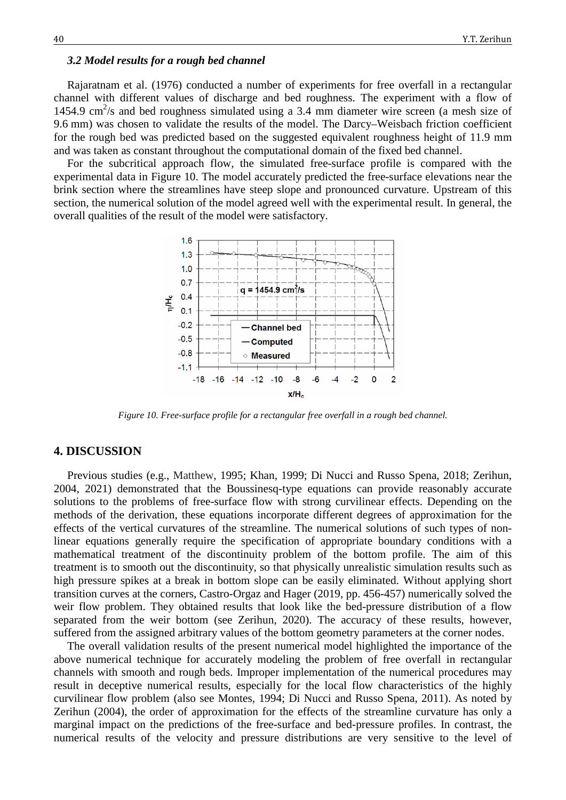### *3.2 Model results for a rough bed channel*

Rajaratnam et al. (1976) conducted a number of experiments for free overfall in a rectangular channel with different values of discharge and bed roughness. The experiment with a flow of 1454.9 cm<sup>2</sup>/s and bed roughness simulated using a 3.4 mm diameter wire screen (a mesh size of 9.6 mm) was chosen to validate the results of the model. The Darcy–Weisbach friction coefficient for the rough bed was predicted based on the suggested equivalent roughness height of 11.9 mm and was taken as constant throughout the computational domain of the fixed bed channel.

For the subcritical approach flow, the simulated free-surface profile is compared with the experimental data in Figure 10. The model accurately predicted the free-surface elevations near the brink section where the streamlines have steep slope and pronounced curvature. Upstream of this section, the numerical solution of the model agreed well with the experimental result. In general, the overall qualities of the result of the model were satisfactory.



*Figure 10. Free-surface profile for a rectangular free overfall in a rough bed channel.*

#### **4. DISCUSSION**

Previous studies (e.g., Matthew, 1995; Khan, 1999; Di Nucci and Russo Spena, 2018; Zerihun, 2004, 2021) demonstrated that the Boussinesq-type equations can provide reasonably accurate solutions to the problems of free-surface flow with strong curvilinear effects. Depending on the methods of the derivation, these equations incorporate different degrees of approximation for the effects of the vertical curvatures of the streamline. The numerical solutions of such types of nonlinear equations generally require the specification of appropriate boundary conditions with a mathematical treatment of the discontinuity problem of the bottom profile. The aim of this treatment is to smooth out the discontinuity, so that physically unrealistic simulation results such as high pressure spikes at a break in bottom slope can be easily eliminated. Without applying short transition curves at the corners, Castro-Orgaz and Hager (2019, pp. 456-457) numerically solved the weir flow problem. They obtained results that look like the bed-pressure distribution of a flow separated from the weir bottom (see Zerihun, 2020). The accuracy of these results, however, suffered from the assigned arbitrary values of the bottom geometry parameters at the corner nodes.

The overall validation results of the present numerical model highlighted the importance of the above numerical technique for accurately modeling the problem of free overfall in rectangular channels with smooth and rough beds. Improper implementation of the numerical procedures may result in deceptive numerical results, especially for the local flow characteristics of the highly curvilinear flow problem (also see Montes, 1994; Di Nucci and Russo Spena, 2011). As noted by Zerihun (2004), the order of approximation for the effects of the streamline curvature has only a marginal impact on the predictions of the free-surface and bed-pressure profiles. In contrast, the numerical results of the velocity and pressure distributions are very sensitive to the level of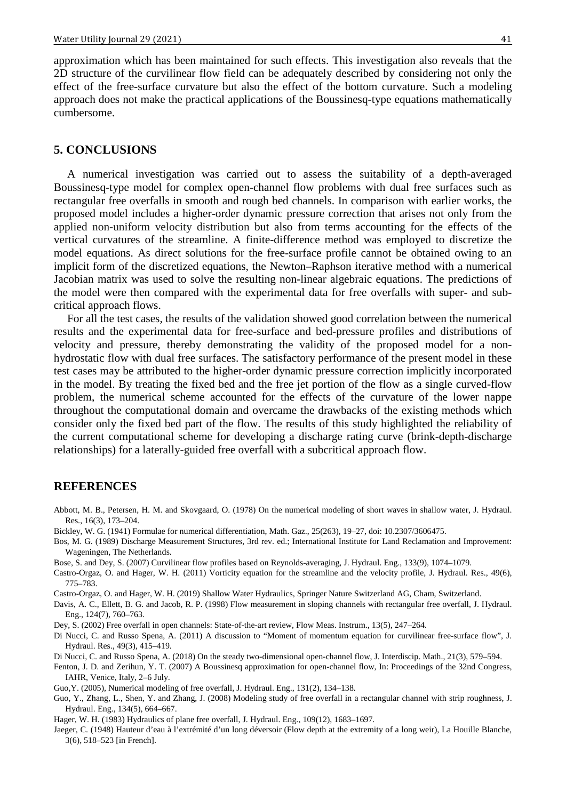approximation which has been maintained for such effects. This investigation also reveals that the 2D structure of the curvilinear flow field can be adequately described by considering not only the effect of the free-surface curvature but also the effect of the bottom curvature. Such a modeling approach does not make the practical applications of the Boussinesq-type equations mathematically cumbersome.

# **5. CONCLUSIONS**

A numerical investigation was carried out to assess the suitability of a depth-averaged Boussinesq-type model for complex open-channel flow problems with dual free surfaces such as rectangular free overfalls in smooth and rough bed channels. In comparison with earlier works, the proposed model includes a higher-order dynamic pressure correction that arises not only from the applied non-uniform velocity distribution but also from terms accounting for the effects of the vertical curvatures of the streamline. A finite-difference method was employed to discretize the model equations. As direct solutions for the free-surface profile cannot be obtained owing to an implicit form of the discretized equations, the Newton–Raphson iterative method with a numerical Jacobian matrix was used to solve the resulting non-linear algebraic equations. The predictions of the model were then compared with the experimental data for free overfalls with super- and subcritical approach flows.

For all the test cases, the results of the validation showed good correlation between the numerical results and the experimental data for free-surface and bed-pressure profiles and distributions of velocity and pressure, thereby demonstrating the validity of the proposed model for a nonhydrostatic flow with dual free surfaces. The satisfactory performance of the present model in these test cases may be attributed to the higher-order dynamic pressure correction implicitly incorporated in the model. By treating the fixed bed and the free jet portion of the flow as a single curved-flow problem, the numerical scheme accounted for the effects of the curvature of the lower nappe throughout the computational domain and overcame the drawbacks of the existing methods which consider only the fixed bed part of the flow. The results of this study highlighted the reliability of the current computational scheme for developing a discharge rating curve (brink-depth-discharge relationships) for a laterally-guided free overfall with a subcritical approach flow.

### **REFERENCES**

- Abbott, M. B., Petersen, H. M. and Skovgaard, O. (1978) On the numerical modeling of short waves in shallow water, J. Hydraul. Res., 16(3), 173–204.
- Bickley, W. G. (1941) Formulae for numerical differentiation, Math. Gaz., 25(263), 19–27, doi: [10.2307/3606475.](http://dx.doi.org/10.2307/3606475)
- Bos, M. G. (1989) Discharge Measurement Structures, 3rd rev. ed.; International Institute for Land Reclamation and Improvement: Wageningen, The Netherlands.
- Bose, S. and [Dey, S.](http://ascelibrary.org/action/doSearch?ContribStored=Dey%2C+S) (2007) Curvilinear flow profiles based on Reynolds-averaging, J. Hydraul. Eng., 133(9), 1074–1079.
- Castro-Orgaz, O. and Hager, W. H. (2011) Vorticity equation for the streamline and the velocity profile, J. Hydraul. Res., 49(6), 775–783.
- Castro-Orgaz, O. and Hager, W. H. (2019) Shallow Water Hydraulics, Springer Nature Switzerland AG, Cham, Switzerland.
- Davis, A. C., Ellett, B. G. and Jacob, R. P. (1998) Flow measurement in sloping channels with rectangular free overfall, J. Hydraul. Eng., 124(7), 760–763.
- Dey, S. (2002) Free overfall in open channels: State-of-the-art review, Flow Meas. Instrum., 13(5), 247–264.
- Di Nucci, C. and Russo Spena, A. (2011) A discussion to "Moment of momentum equation for curvilinear free-surface flow", J. Hydraul. Res., 49(3), 415–419.
- Di Nucci, C. and Russo Spena, A. (2018) On the steady two-dimensional open-channel flow, J. Interdiscip. Math., 21(3), 579–594.
- Fenton, J. D. and Zerihun, Y. T. (2007) A Boussinesq approximation for open-channel flow, In: Proceedings of the 32nd Congress, IAHR, Venice, Italy, 2–6 July.
- Guo,Y. (2005), Numerical modeling of free overfall, J. Hydraul. Eng., 131(2), 134–138.
- Guo, Y., Zhang, L., Shen, Y. and Zhang, J. (2008) Modeling study of free overfall in a rectangular channel with strip roughness, J. Hydraul. Eng., 134(5), 664–667.
- Hager, W. H. (1983) Hydraulics of plane free overfall, J. Hydraul. Eng., 109(12), 1683–1697.
- Jaeger, C. (1948) Hauteur d'eau à l'extrémité d'un long déversoir (Flow depth at the extremity of a long weir), La Houille Blanche, 3(6), 518–523 [in French].